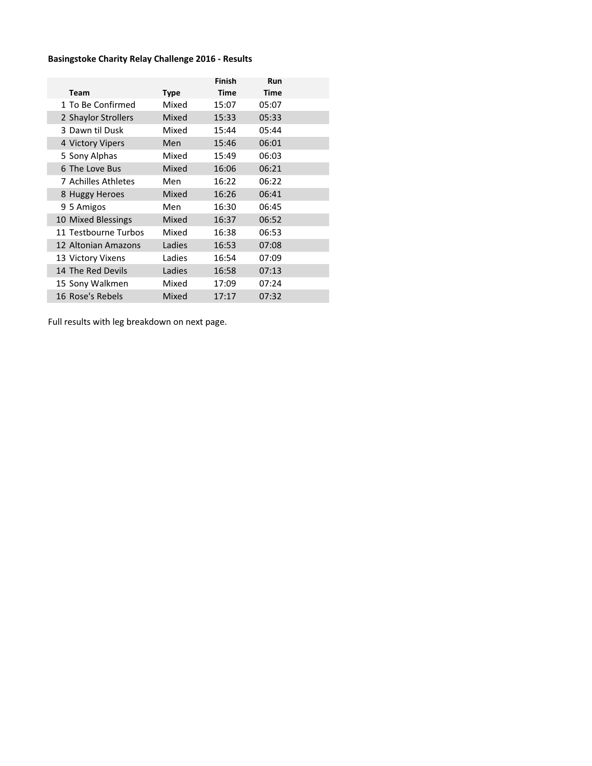## Basingstoke Charity Relay Challenge 2016 - Results

|                      |             | Finish      | Run         |  |
|----------------------|-------------|-------------|-------------|--|
| <b>Team</b>          | <b>Type</b> | <b>Time</b> | <b>Time</b> |  |
| 1 To Be Confirmed    | Mixed       | 15:07       | 05:07       |  |
| 2 Shaylor Strollers  | Mixed       | 15:33       | 05:33       |  |
| 3 Dawn til Dusk      | Mixed       | 15:44       | 05:44       |  |
| 4 Victory Vipers     | Men         | 15:46       | 06:01       |  |
| 5 Sony Alphas        | Mixed       | 15:49       | 06:03       |  |
| 6 The Love Bus       | Mixed       | 16:06       | 06:21       |  |
| 7 Achilles Athletes  | Men         | 16:22       | 06:22       |  |
| 8 Huggy Heroes       | Mixed       | 16:26       | 06:41       |  |
| 9 5 Amigos           | Men         | 16:30       | 06:45       |  |
| 10 Mixed Blessings   | Mixed       | 16:37       | 06:52       |  |
| 11 Testbourne Turbos | Mixed       | 16:38       | 06:53       |  |
| 12 Altonian Amazons  | Ladies      | 16:53       | 07:08       |  |
| 13 Victory Vixens    | Ladies      | 16:54       | 07:09       |  |
| 14 The Red Devils    | Ladies      | 16:58       | 07:13       |  |
| 15 Sony Walkmen      | Mixed       | 17:09       | 07:24       |  |
| 16 Rose's Rebels     | Mixed       | 17:17       | 07:32       |  |

Full results with leg breakdown on next page.